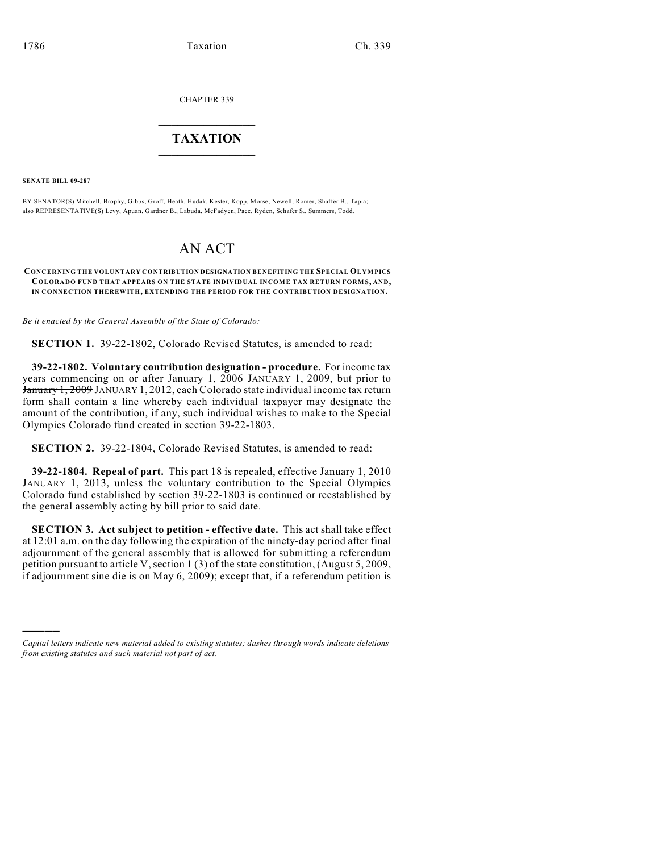CHAPTER 339

## $\mathcal{L}_\text{max}$  . The set of the set of the set of the set of the set of the set of the set of the set of the set of the set of the set of the set of the set of the set of the set of the set of the set of the set of the set **TAXATION**  $\_$

**SENATE BILL 09-287**

)))))

BY SENATOR(S) Mitchell, Brophy, Gibbs, Groff, Heath, Hudak, Kester, Kopp, Morse, Newell, Romer, Shaffer B., Tapia; also REPRESENTATIVE(S) Levy, Apuan, Gardner B., Labuda, McFadyen, Pace, Ryden, Schafer S., Summers, Todd.

## AN ACT

## **CONCERNING THE VOLUNTARY CONTRIBUTION DESIGNATION BENEFITING THE SPECIAL OLYMPICS COLORADO FUND THAT APPEARS ON THE STATE INDIVIDUAL INCOM E TAX RETURN FORM S, AND, IN CONNECTION THEREWITH, EXTENDING THE PERIOD FOR THE CONTRIBUTION DESIGNATION.**

*Be it enacted by the General Assembly of the State of Colorado:*

**SECTION 1.** 39-22-1802, Colorado Revised Statutes, is amended to read:

**39-22-1802. Voluntary contribution designation - procedure.** For income tax years commencing on or after January 1, 2006 JANUARY 1, 2009, but prior to January 1, 2009 JANUARY 1, 2012, each Colorado state individual income tax return form shall contain a line whereby each individual taxpayer may designate the amount of the contribution, if any, such individual wishes to make to the Special Olympics Colorado fund created in section 39-22-1803.

**SECTION 2.** 39-22-1804, Colorado Revised Statutes, is amended to read:

**39-22-1804. Repeal of part.** This part 18 is repealed, effective January 1, 2010 JANUARY 1, 2013, unless the voluntary contribution to the Special Olympics Colorado fund established by section 39-22-1803 is continued or reestablished by the general assembly acting by bill prior to said date.

**SECTION 3. Act subject to petition - effective date.** This act shall take effect at 12:01 a.m. on the day following the expiration of the ninety-day period after final adjournment of the general assembly that is allowed for submitting a referendum petition pursuant to article V, section 1 (3) of the state constitution, (August 5, 2009, if adjournment sine die is on May 6, 2009); except that, if a referendum petition is

*Capital letters indicate new material added to existing statutes; dashes through words indicate deletions from existing statutes and such material not part of act.*